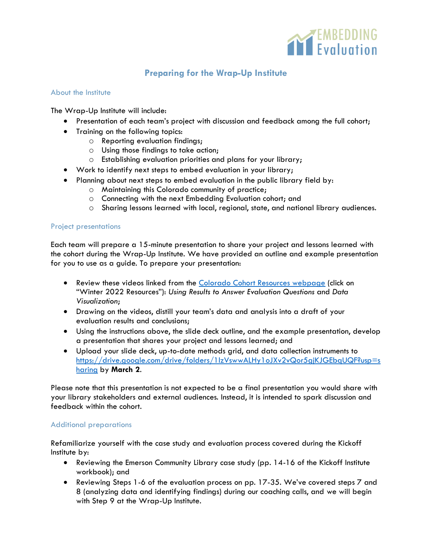

# **Preparing for the Wrap-Up Institute**

### About the Institute

The Wrap-Up Institute will include:

- Presentation of each team's project with discussion and feedback among the full cohort;
- Training on the following topics:
	- o Reporting evaluation findings;
	- o Using those findings to take action;
	- o Establishing evaluation priorities and plans for your library;
- Work to identify next steps to embed evaluation in your library;
- Planning about next steps to embed evaluation in the public library field by:
	- o Maintaining this Colorado community of practice;
	- o Connecting with the next Embedding Evaluation cohort; and
	- o Sharing lessons learned with local, regional, state, and national library audiences.

### Project presentations

Each team will prepare a 15-minute presentation to share your project and lessons learned with the cohort during the Wrap-Up Institute. We have provided an outline and example presentation for you to use as a guide. To prepare your presentation:

- Review these videos linked from the [Colorado Cohort Resources webpage](https://www.libraryeval.org/colorado-cohort-resources/) (click on "Winter 2022 Resources"): *Using Results to Answer Evaluation Questions* and *Data Visualization*;
- Drawing on the videos, distill your team's data and analysis into a draft of your evaluation results and conclusions;
- Using the instructions above, the slide deck outline, and the example presentation, develop a presentation that shares your project and lessons learned; and
- Upload your slide deck, up-to-date methods grid, and data collection instruments to [https://drive.google.com/drive/folders/1lzVswwALHy1oJXv2vQor5gjKJGEbqUQF?usp=s](https://drive.google.com/drive/folders/1lzVswwALHy1oJXv2vQor5gjKJGEbqUQF?usp=sharing) [haring](https://drive.google.com/drive/folders/1lzVswwALHy1oJXv2vQor5gjKJGEbqUQF?usp=sharing) by **March 2**.

Please note that this presentation is not expected to be a final presentation you would share with your library stakeholders and external audiences. Instead, it is intended to spark discussion and feedback within the cohort.

### Additional preparations

Refamiliarize yourself with the case study and evaluation process covered during the Kickoff Institute by:

- Reviewing the Emerson Community Library case study (pp. 14-16 of the Kickoff Institute workbook); and
- Reviewing Steps 1-6 of the evaluation process on pp. 17-35. We've covered steps 7 and 8 (analyzing data and identifying findings) during our coaching calls, and we will begin with Step 9 at the Wrap-Up Institute.